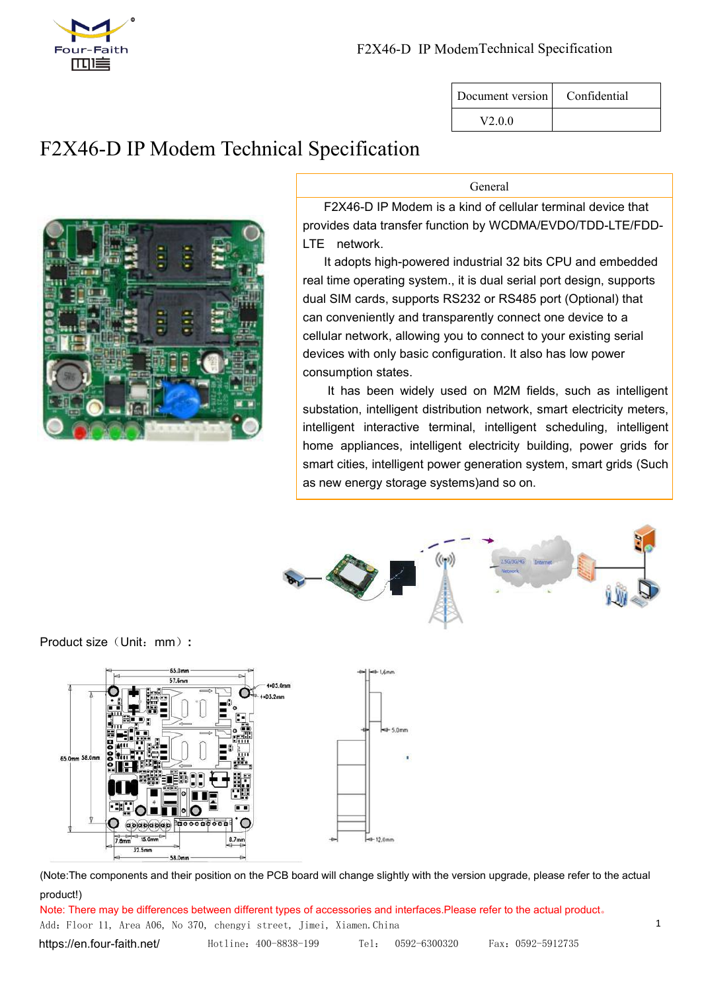

| Document version | Confidential |
|------------------|--------------|
| V200             |              |

# F2X46-D IP Modem Technical Specification



General

F2X46-D IP Modem is a kind of cellular terminal device that provides data transfer function by WCDMA/EVDO/TDD-LTE/FDD- LTE network.

It adopts high-powered industrial 32 bits CPU and embedded real time operating system., it is dual serial port design, supports dual SIM cards, supports RS232 or RS485 port (Optional) that can conveniently and transparently connect one device to a cellular network, allowing you to connect to your existing serial devices with only basic configuration. It also has low power consumption states.

It has been widely used on M2M fields, such as intelligent substation, intelligent distribution network, smart electricity meters, intelligent interactive terminal, intelligent scheduling, intelligent home appliances, intelligent electricity building, power grids for smart cities, intelligent power generation system, smart grids (Such as new energy storage systems)and so on.



Product size (Unit: mm) :



(Note:The components and their position on the PCB board will change slightly with the version upgrade, please refer to the actual product!)

Add: Floor 11, Area A06, No 370, chengyi street, Jimei, Xiamen.China 1 <https://en.four-faith.net/> Hotline:400-8838-199 Tel: 0592-6300320 Fax:0592-5912735 Note: There may be differences between different types of accessories and interfaces.Please refer to the actual product。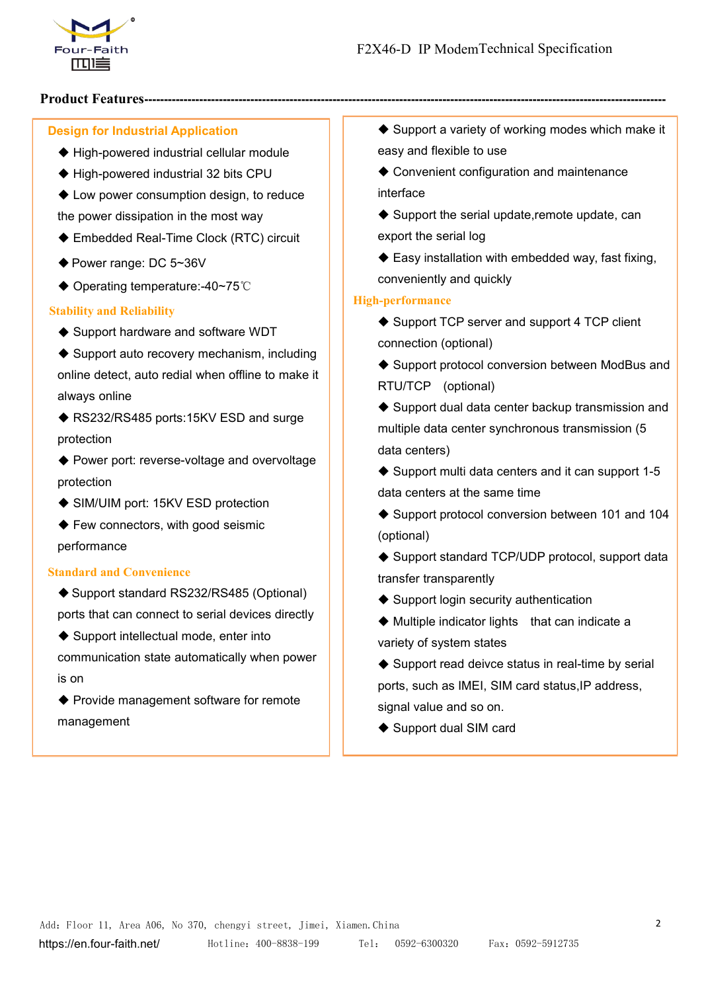

# **Product Features-------------------------------------------------------------------------------------------------------------------------------------**

# **Design for Industrial Application**

- ◆ High-powered industrial cellular module
- ◆ High-powered industrial 32 bits CPU
- ◆ Low power consumption design, to reduce the power dissipation in the most way
- ◆ Embedded Real-Time Clock (RTC) circuit
- ◆ Power range: DC 5~36V
- ◆ Operating temperature:-40~75℃

#### **Stability and Reliability**

- ◆ Support hardware and software WDT
- $\blacklozenge$  Support auto recovery mechanism, including online detect, auto redial when offline to make it always online
- ◆ RS232/RS485 ports:15KV ESD and surge protection
- ◆ Power port: reverse-voltage and overvoltage protection
- ◆ SIM/UIM port: 15KV ESD protection
- ◆ Few connectors, with good seismic performance

#### **Standard and Convenience**

- ◆ Support standard RS232/RS485 (Optional) ports that can connect to serial devices directly
- ◆ Support intellectual mode, enter into communication state automatically when power is on
- Provide management software for remote signal value and so on. management
- $\triangle$  Support a variety of working modes which make it easy and flexible to use
- ◆ Convenient configuration and maintenance interface
- $\blacklozenge$  Support the serial update, remote update, can export the serial log
- $\triangle$  Easy installation with embedded way, fast fixing, conveniently and quickly

#### **High-performance**

- ♦ Support TCP server and support 4 TCP client connection (optional)
- ◆ Support protocol conversion between ModBus and RTU/TCP (optional)
- $\triangle$  Support dual data center backup transmission and multiple data center synchronous transmission (5 data centers)
- $\triangle$  Support multi data centers and it can support 1-5 data centers at the same time
- ◆ Support protocol conversion between 101 and 104 (optional)
- ◆ Support standard TCP/UDP protocol, support data transfer transparently
- ♦ Support login security authentication
- $\blacklozenge$  Multiple indicator lights that can indicate a variety of system states
- $\blacklozenge$  Support read deivce status in real-time by serial ports, such as IMEI, SIM card status, IP address,
- ◆ Support dual SIM card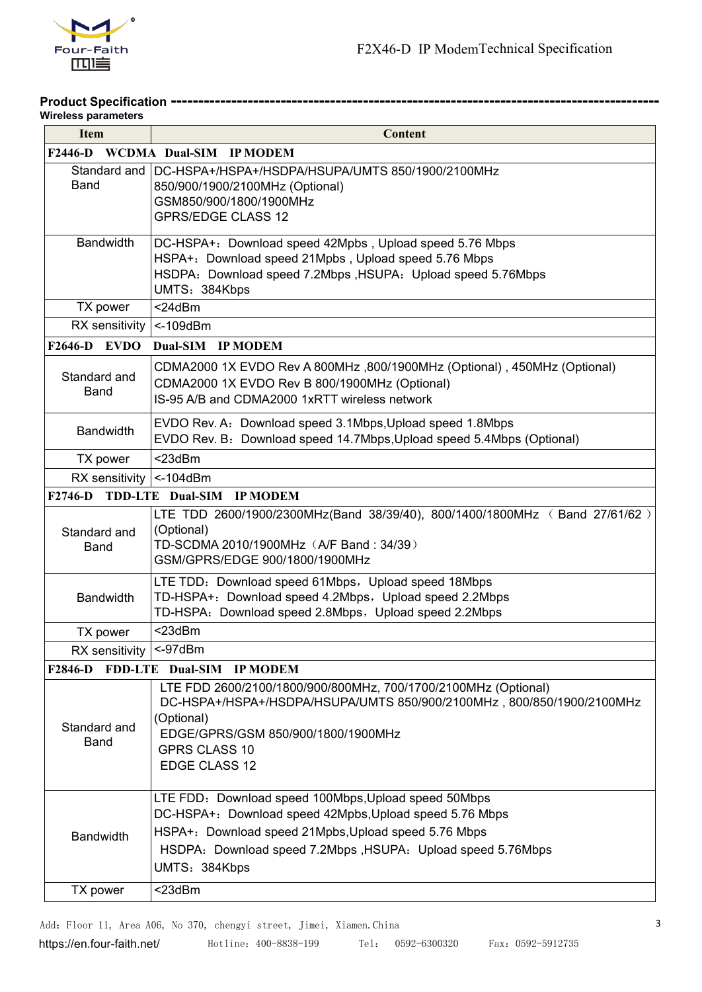

#### **Product Specification ----------------------------------------------------------------------------------------- Wireless parameters**

| <b>Item</b>                     | Content                                                                                                                                                                                                                                                 |
|---------------------------------|---------------------------------------------------------------------------------------------------------------------------------------------------------------------------------------------------------------------------------------------------------|
|                                 | F2446-D WCDMA Dual-SIM IP MODEM                                                                                                                                                                                                                         |
| Standard and<br><b>Band</b>     | DC-HSPA+/HSPA+/HSDPA/HSUPA/UMTS 850/1900/2100MHz<br>850/900/1900/2100MHz (Optional)<br>GSM850/900/1800/1900MHz<br><b>GPRS/EDGE CLASS 12</b>                                                                                                             |
| <b>Bandwidth</b>                | DC-HSPA+: Download speed 42Mpbs, Upload speed 5.76 Mbps<br>HSPA+: Download speed 21Mpbs, Upload speed 5.76 Mbps<br>HSDPA: Download speed 7.2Mbps, HSUPA: Upload speed 5.76Mbps<br>UMTS: 384Kbps                                                         |
| TX power                        | $<$ 24dBm                                                                                                                                                                                                                                               |
| RX sensitivity $ $ <-109dBm     |                                                                                                                                                                                                                                                         |
| $F2646-D$ EVDO                  | Dual-SIM IP MODEM                                                                                                                                                                                                                                       |
| Standard and<br><b>Band</b>     | CDMA2000 1X EVDO Rev A 800MHz, 800/1900MHz (Optional), 450MHz (Optional)<br>CDMA2000 1X EVDO Rev B 800/1900MHz (Optional)<br>IS-95 A/B and CDMA2000 1xRTT wireless network                                                                              |
| <b>Bandwidth</b>                | EVDO Rev. A: Download speed 3.1Mbps, Upload speed 1.8Mbps<br>EVDO Rev. B: Download speed 14.7Mbps, Upload speed 5.4Mbps (Optional)                                                                                                                      |
| TX power                        | $<$ 23dBm                                                                                                                                                                                                                                               |
| RX sensitivity $\vert$ <-104dBm |                                                                                                                                                                                                                                                         |
|                                 | F2746-D TDD-LTE Dual-SIM IP MODEM                                                                                                                                                                                                                       |
| Standard and<br><b>Band</b>     | LTE TDD 2600/1900/2300MHz(Band 38/39/40), 800/1400/1800MHz ( Band 27/61/62 )<br>(Optional)<br>TD-SCDMA 2010/1900MHz (A/F Band: 34/39)<br>GSM/GPRS/EDGE 900/1800/1900MHz                                                                                 |
| <b>Bandwidth</b>                | LTE TDD: Download speed 61Mbps, Upload speed 18Mbps<br>TD-HSPA+: Download speed 4.2Mbps, Upload speed 2.2Mbps<br>TD-HSPA: Download speed 2.8Mbps, Upload speed 2.2Mbps                                                                                  |
| TX power                        | $<$ 23dBm                                                                                                                                                                                                                                               |
| RX sensitivity   <- 97dBm       |                                                                                                                                                                                                                                                         |
|                                 | F2846-D FDD-LTE Dual-SIM IP MODEM                                                                                                                                                                                                                       |
| Standard and<br><b>Band</b>     | LTE FDD 2600/2100/1800/900/800MHz, 700/1700/2100MHz (Optional)<br>DC-HSPA+/HSPA+/HSDPA/HSUPA/UMTS 850/900/2100MHz, 800/850/1900/2100MHz<br>(Optional)<br>EDGE/GPRS/GSM 850/900/1800/1900MHz<br><b>GPRS CLASS 10</b><br>EDGE CLASS 12                    |
| <b>Bandwidth</b>                | LTE FDD: Download speed 100Mbps, Upload speed 50Mbps<br>DC-HSPA+: Download speed 42Mpbs, Upload speed 5.76 Mbps<br>HSPA+: Download speed 21Mpbs, Upload speed 5.76 Mbps<br>HSDPA: Download speed 7.2Mbps, HSUPA: Upload speed 5.76Mbps<br>UMTS: 384Kbps |
| TX power                        | $<$ 23dBm                                                                                                                                                                                                                                               |

Add: Floor 11, Area A06, No 370, chengyi street, Jimei, Xiamen.China 3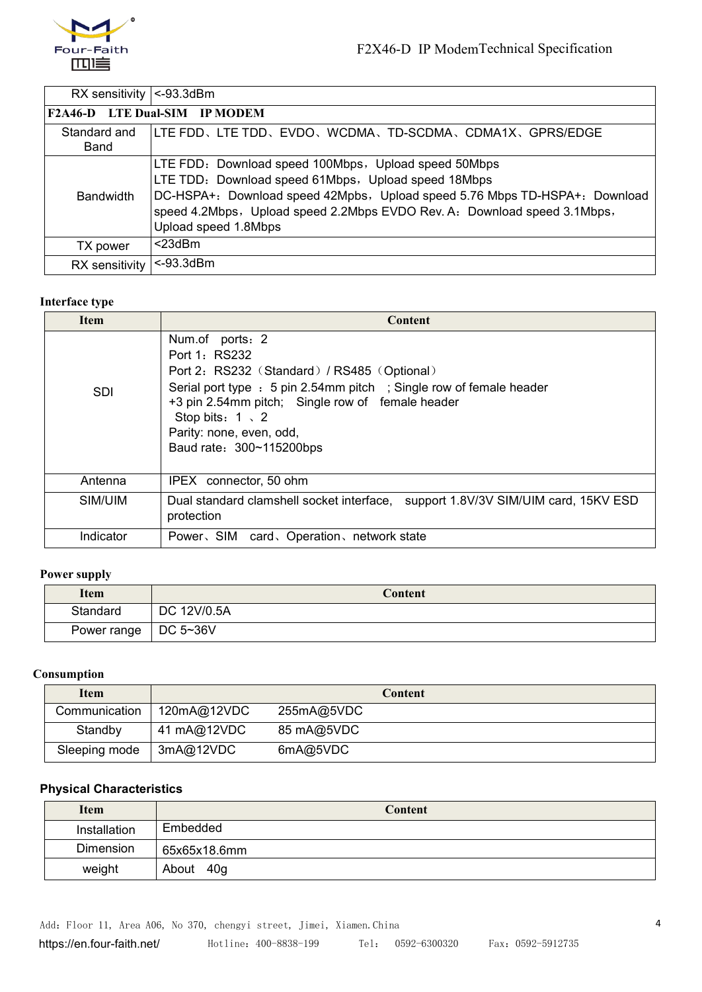

 $\mathbf{I}$ 

RX sensitivity <- 93.3dBm

| .                            |                                                                                                                                                                                                                                                                                               |
|------------------------------|-----------------------------------------------------------------------------------------------------------------------------------------------------------------------------------------------------------------------------------------------------------------------------------------------|
|                              | <b>F2A46-D LTE Dual-SIM IP MODEM</b>                                                                                                                                                                                                                                                          |
| Standard and<br>Band         | LITE FDD、LTE TDD、EVDO、WCDMA、TD-SCDMA、CDMA1X、GPRS/EDGE                                                                                                                                                                                                                                         |
| <b>Bandwidth</b>             | LTE FDD: Download speed 100Mbps, Upload speed 50Mbps<br>LTE TDD: Download speed 61Mbps, Upload speed 18Mbps<br>DC-HSPA+: Download speed 42Mpbs, Upload speed 5.76 Mbps TD-HSPA+: Download<br>speed 4.2Mbps, Upload speed 2.2Mbps EVDO Rev. A: Download speed 3.1Mbps,<br>Upload speed 1.8Mbps |
| TX power                     | $<$ 23dBm                                                                                                                                                                                                                                                                                     |
| RX sensitivity $ $ <-93.3dBm |                                                                                                                                                                                                                                                                                               |
|                              |                                                                                                                                                                                                                                                                                               |

#### **Interface type**

| <b>Item</b> | <b>Content</b>                                                                                                                                                                                                                                                                                |
|-------------|-----------------------------------------------------------------------------------------------------------------------------------------------------------------------------------------------------------------------------------------------------------------------------------------------|
| <b>SDI</b>  | Num.of ports: 2<br>Port 1: RS232<br>Port 2: RS232 (Standard) / RS485 (Optional)<br>Serial port type : 5 pin 2.54mm pitch ; Single row of female header<br>+3 pin 2.54mm pitch; Single row of female header<br>Stop bits: $1 \times 2$<br>Parity: none, even, odd,<br>Baud rate: 300~115200bps |
| Antenna     | IPEX connector, 50 ohm                                                                                                                                                                                                                                                                        |
| SIM/UIM     | Dual standard clamshell socket interface, support 1.8V/3V SIM/UIM card, 15KV ESD<br>protection                                                                                                                                                                                                |
| Indicator   | Power, SIM card, Operation, network state                                                                                                                                                                                                                                                     |

# **Power supply**

| <b>Item</b>            | Content     |
|------------------------|-------------|
| Standard               | DC 12V/0.5A |
| Power range   DC 5~36V |             |

# **Consumption**

| <b>Item</b>   |             | Content    |
|---------------|-------------|------------|
| Communication | 120mA@12VDC | 255mA@5VDC |
| Standby       | 41 mA@12VDC | 85 mA@5VDC |
| Sleeping mode | 3mA@12VDC   | 6mA@5VDC   |

# **Physical Characteristics**

| Item         | Content      |
|--------------|--------------|
| Installation | Embedded     |
| Dimension    | 65x65x18.6mm |
| weight       | 40g<br>About |